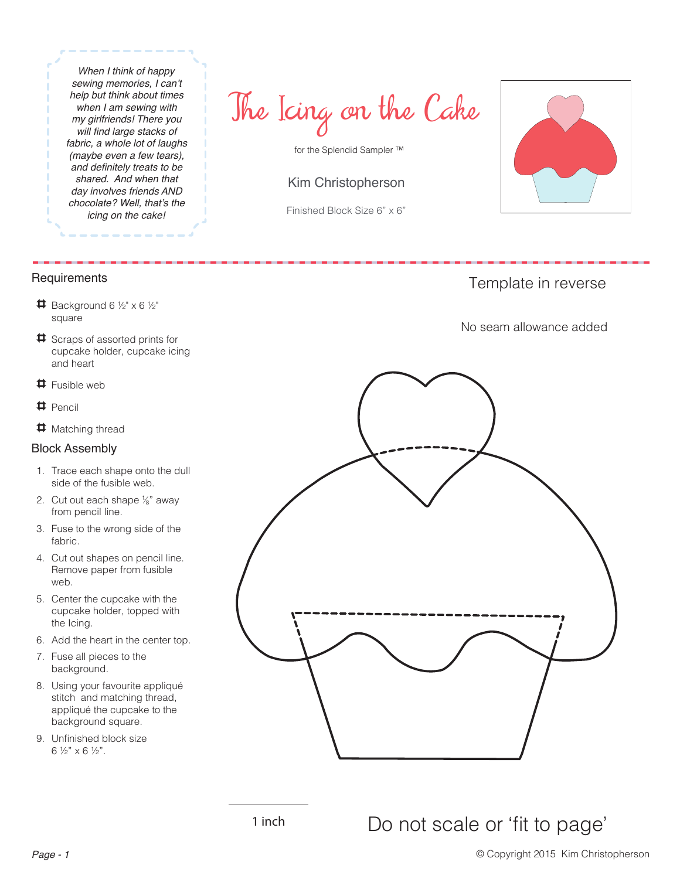*When I think of happy*  sewing memories, I can't *help but think about times when I am sewing with my girlfriends! There you*  will find large stacks of *fabric, a whole lot of laughs (maybe even a few tears),*  and definitely treats to be *shared. And when that day involves friends AND*  chocolate? Well, that's the *icing on the cake!*

The Icing on the Cake

for the Splendid Sampler ™

## Kim Christopherson

Finished Block Size 6" x 6"



Template in reverse

No seam allowance added

## **Requirements**

- $\sharp$  Background 6 ½" x 6 ½" square
- Scraps of assorted prints for cupcake holder, cupcake icing and heart
- 4 Fusible web
- 4 Pencil
- **‡** Matching thread

## Block Assembly

- 1. Trace each shape onto the dull side of the fusible web.
- 2. Cut out each shape  $\frac{1}{8}$ " away from pencil line.
- 3. Fuse to the wrong side of the fabric.
- 4. Cut out shapes on pencil line. Remove paper from fusible web.
- 5. Center the cupcake with the cupcake holder, topped with the Icing.
- 6. Add the heart in the center top.
- 7. Fuse all pieces to the background.
- 8. Using your favourite appliqué stitch and matching thread, appliqué the cupcake to the background square.
- 9. Unfinished block size 6 ½" x 6 ½".

## 1 inch Do not scale or 'fit to page'